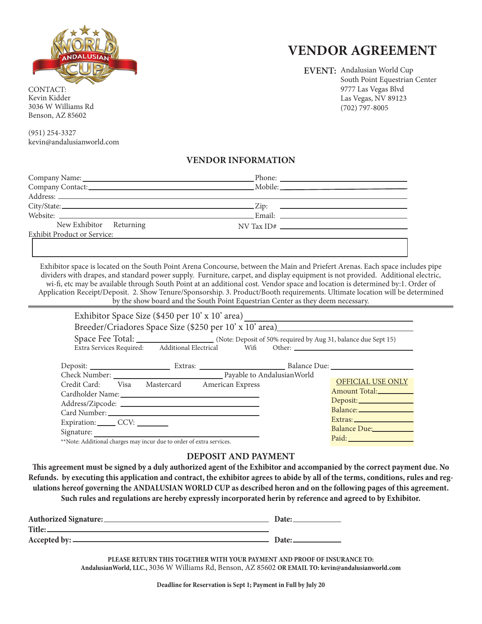

# **VENDOR AGREEMENT**

**EVENT:** Andalusian World Cup South Point Equestrian Center 9777 Las Vegas Blvd Las Vegas, NV 89123 (702) 797-8005

CONTACT: Kevin Kidder 3036 W Williams Rd Benson, AZ 85602

(951) 254-3327 kevin@andalusianworld.com

#### **VENDOR INFORMATION**

|                                    | Phone: $\frac{1}{\sqrt{1-\frac{1}{2}} \cdot \frac{1}{2}}$                                                                                                                                                                                                                                                        |  |
|------------------------------------|------------------------------------------------------------------------------------------------------------------------------------------------------------------------------------------------------------------------------------------------------------------------------------------------------------------|--|
|                                    |                                                                                                                                                                                                                                                                                                                  |  |
|                                    |                                                                                                                                                                                                                                                                                                                  |  |
|                                    |                                                                                                                                                                                                                                                                                                                  |  |
|                                    | Email: The contract of the contract of the contract of the contract of the contract of the contract of the contract of the contract of the contract of the contract of the contract of the contract of the contract of the con                                                                                   |  |
| New Exhibitor Returning            | $\frac{1}{2}$ NV Tax ID# $\frac{1}{2}$ $\frac{1}{2}$ $\frac{1}{2}$ $\frac{1}{2}$ $\frac{1}{2}$ $\frac{1}{2}$ $\frac{1}{2}$ $\frac{1}{2}$ $\frac{1}{2}$ $\frac{1}{2}$ $\frac{1}{2}$ $\frac{1}{2}$ $\frac{1}{2}$ $\frac{1}{2}$ $\frac{1}{2}$ $\frac{1}{2}$ $\frac{1}{2}$ $\frac{1}{2}$ $\frac{1}{2}$ $\frac{1}{2}$ |  |
| <b>Exhibit Product or Service:</b> |                                                                                                                                                                                                                                                                                                                  |  |
|                                    |                                                                                                                                                                                                                                                                                                                  |  |

Exhibitor space is located on the South Point Arena Concourse, between the Main and Priefert Arenas. Each space includes pipe dividers with drapes, and standard power supply. Furniture, carpet, and display equipment is not provided. Additional electric, wi-fi, etc may be available through South Point at an additional cost. Vendor space and location is determined by:1. Order of Application Receipt/Deposit. 2. Show Tenure/Sponsorship. 3. Product/Booth requirements. Ultimate location will be determined by the show board and the South Point Equestrian Center as they deem necessary.

|                                                                                                          |  | Exhibitor Space Size (\$450 per 10' x 10' area)<br>Breeder/Criadores Space Size (\$250 per 10' x 10' area)__________________________ |  |                                                                                   |
|----------------------------------------------------------------------------------------------------------|--|--------------------------------------------------------------------------------------------------------------------------------------|--|-----------------------------------------------------------------------------------|
| Space Fee Total: _________________________(Note: Deposit of 50% required by Aug 31, balance due Sept 15) |  |                                                                                                                                      |  |                                                                                   |
|                                                                                                          |  |                                                                                                                                      |  | Extra Services Required: Additional Electrical Wifi Other: ______________________ |
|                                                                                                          |  |                                                                                                                                      |  |                                                                                   |
| Credit Card: Visa Mastercard American Express                                                            |  |                                                                                                                                      |  | OFFICIAL USE ONLY<br>Amount Total:                                                |
|                                                                                                          |  |                                                                                                                                      |  |                                                                                   |
| Expiration: CCV: _______<br>Signature:                                                                   |  |                                                                                                                                      |  | Balance Due:                                                                      |
| **Note: Additional charges may incur due to order of extra services.                                     |  |                                                                                                                                      |  | Paid: Paid:                                                                       |

### **DEPOSIT AND PAYMENT**

**This agreement must be signed by a duly authorized agent of the Exhibitor and accompanied by the correct payment due. No Refunds. by executing this application and contract, the exhibitor agrees to abide by all of the terms, conditions, rules and regulations hereof governing the ANDALUSIAN WORLD CUP as described heron and on the following pages of this agreement. Such rules and regulations are hereby expressly incorporated herin by reference and agreed to by Exhibitor.**

| Authorized Signature:_ | Date: |
|------------------------|-------|
| Title:                 |       |
| Accepted by:           | Date: |
|                        |       |

**PLEASE RETURN THIS TOGETHER WITH YOUR PAYMENT AND PROOF OF INSURANCE TO: AndalusianWorld, LLC.,** 3036 W Williams Rd, Benson, AZ 85602 **OR EMAIL TO: kevin@andalusianworld.com**